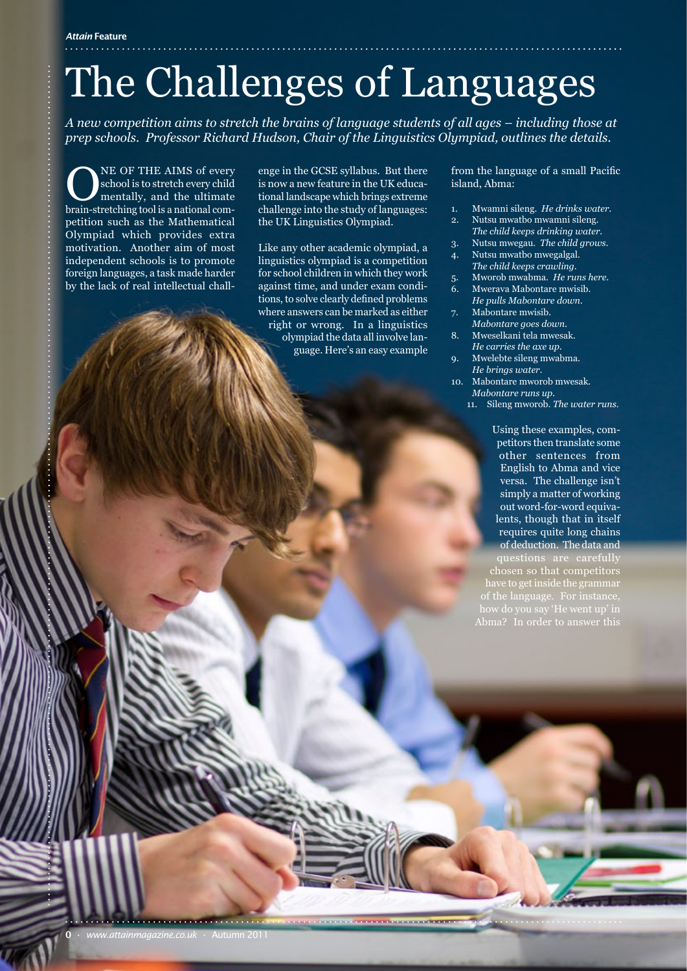## The Challenges of Languages

*A new competition aims to stretch the brains of language students of all ages – including those at prep schools. Professor Richard Hudson, Chair of the Linguistics Olympiad, outlines the details.*

NE OF THE AIMS of every school is to stretch every child mentally, and the ultimate brain-stretching tool is a national competition such as the Mathematical Olympiad which provides extra motivation. Another aim of most independent schools is to promote foreign languages, a task made harder by the lack of real intellectual chall-

enge in the GCSE syllabus. But there is now a new feature in the UK educational landscape which brings extreme challenge into the study of languages: the UK Linguistics Olympiad.

Like any other academic olympiad, a linguistics olympiad is a competition for school children in which they work against time, and under exam conditions, to solve clearly defined problems where answers can be marked as either right or wrong. In a linguistics olympiad the data all involve language. Here's an easy example

. . . . . . . . . . . . . . . . <del>. . . . . . . . . . . . . . . . . . . .</del> . .

from the language of a small Pacific island, Abma:

- 1. Mwamni sileng. *He drinks water.*
- 2. Nutsu mwatbo mwamni sileng. *The child keeps drinking water.*
- 3. Nutsu mwegau. *The child grows.* 4. Nutsu mwatbo mwegalgal.
- *The child keeps crawling.*
- 5. Mworob mwabma. *He runs here.*
- 6. Mwerava Mabontare mwisib. *He pulls Mabontare down.*
- 7. Mabontare mwisib. *Mabontare goes down.*
- 8. Mweselkani tela mwesak. *He carries the axe up.*
- 9. Mwelebte sileng mwabma. *He brings water.*
- Mabontare mworob mwesak. *Mabontare runs up.*
	- 11. Sileng mworob. *The water runs.*

Using these examples, competitors then translate some other sentences from English to Abma and vice versa. The challenge isn't simply a matter of working out word-for-word equivalents, though that in itself requires quite long chains of deduction. The data and questions are carefully chosen so that competitors Abma? In order to answer this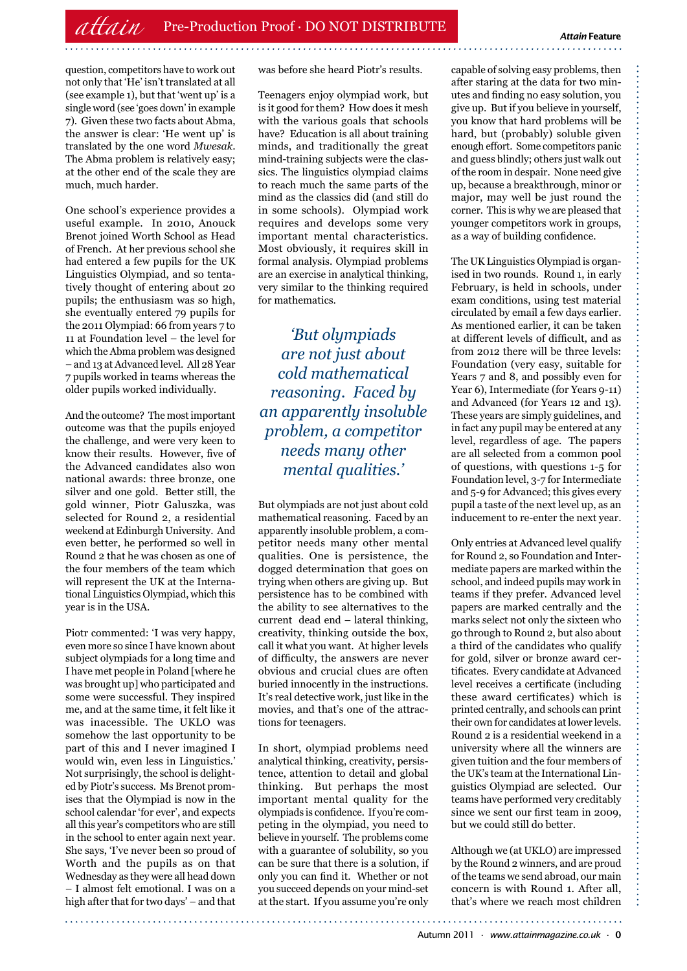question, competitors have to work out not only that 'He' isn't translated at all (see example 1), but that 'went up' is a single word (see 'goes down' in example 7). Given these two facts about Abma, the answer is clear: 'He went up' is translated by the one word *Mwesak*. The Abma problem is relatively easy; at the other end of the scale they are much, much harder.

One school's experience provides a useful example. In 2010, Anouck Brenot joined Worth School as Head of French. At her previous school she had entered a few pupils for the UK Linguistics Olympiad, and so tentatively thought of entering about 20 pupils; the enthusiasm was so high, she eventually entered 79 pupils for the 2011 Olympiad: 66 from years 7 to 11 at Foundation level – the level for which the Abma problem was designed – and 13 at Advanced level. All 28 Year 7 pupils worked in teams whereas the older pupils worked individually.

And the outcome? The most important outcome was that the pupils enjoyed the challenge, and were very keen to know their results. However, five of the Advanced candidates also won national awards: three bronze, one silver and one gold. Better still, the gold winner, Piotr Galuszka, was selected for Round 2, a residential weekend at Edinburgh University. And even better, he performed so well in Round 2 that he was chosen as one of the four members of the team which will represent the UK at the International Linguistics Olympiad, which this year is in the USA.

Piotr commented: 'I was very happy, even more so since I have known about subject olympiads for a long time and I have met people in Poland [where he was brought up] who participated and some were successful. They inspired me, and at the same time, it felt like it was inacessible. The UKLO was somehow the last opportunity to be part of this and I never imagined I would win, even less in Linguistics.' Not surprisingly, the school is delighted by Piotr's success. Ms Brenot promises that the Olympiad is now in the school calendar 'for ever', and expects all this year's competitors who are still in the school to enter again next year. She says, 'I've never been so proud of Worth and the pupils as on that Wednesday as they were all head down – I almost felt emotional. I was on a high after that for two days' – and that

was before she heard Piotr's results.

Teenagers enjoy olympiad work, but is it good for them? How does it mesh with the various goals that schools have? Education is all about training minds, and traditionally the great mind-training subjects were the classics. The linguistics olympiad claims to reach much the same parts of the mind as the classics did (and still do in some schools). Olympiad work requires and develops some very important mental characteristics. Most obviously, it requires skill in formal analysis. Olympiad problems are an exercise in analytical thinking, very similar to the thinking required for mathematics.

*'But olympiads are not just about cold mathematical reasoning. Faced by an apparently insoluble problem, a competitor needs many other mental qualities.'*

But olympiads are not just about cold mathematical reasoning. Faced by an apparently insoluble problem, a competitor needs many other mental qualities. One is persistence, the dogged determination that goes on trying when others are giving up. But persistence has to be combined with the ability to see alternatives to the current dead end – lateral thinking, creativity, thinking outside the box, call it what you want. At higher levels of difficulty, the answers are never obvious and crucial clues are often buried innocently in the instructions. It's real detective work, just like in the movies, and that's one of the attractions for teenagers.

In short, olympiad problems need analytical thinking, creativity, persistence, attention to detail and global thinking. But perhaps the most important mental quality for the olympiads is confidence. If you're competing in the olympiad, you need to believe in yourself. The problems come with a guarantee of solubility, so you can be sure that there is a solution, if only you can find it. Whether or not you succeed depends on your mind-set at the start. If you assume you're only

capable of solving easy problems, then after staring at the data for two minutes and finding no easy solution, you give up. But if you believe in yourself, you know that hard problems will be hard, but (probably) soluble given enough effort. Some competitors panic and guess blindly; others just walk out of the room in despair. None need give up, because a breakthrough, minor or major, may well be just round the corner. This is why we are pleased that younger competitors work in groups, as a way of building confidence.

The UK Linguistics Olympiad is organised in two rounds. Round 1, in early February, is held in schools, under exam conditions, using test material circulated by email a few days earlier. As mentioned earlier, it can be taken at different levels of difficult, and as from 2012 there will be three levels: Foundation (very easy, suitable for Years 7 and 8, and possibly even for Year 6), Intermediate (for Years 9-11) and Advanced (for Years 12 and 13). These years are simply guidelines, and in fact any pupil may be entered at any level, regardless of age. The papers are all selected from a common pool of questions, with questions 1-5 for Foundation level, 3-7 for Intermediate and 5-9 for Advanced; this gives every pupil a taste of the next level up, as an inducement to re-enter the next year.

Only entries at Advanced level qualify for Round 2, so Foundation and Intermediate papers are marked within the school, and indeed pupils may work in teams if they prefer. Advanced level papers are marked centrally and the marks select not only the sixteen who go through to Round 2, but also about a third of the candidates who qualify for gold, silver or bronze award certificates. Every candidate at Advanced level receives a certificate (including these award certificates) which is printed centrally, and schools can print their own for candidates at lower levels. Round 2 is a residential weekend in a university where all the winners are given tuition and the four members of the UK's team at the International Linguistics Olympiad are selected. Our teams have performed very creditably since we sent our first team in 2009, but we could still do better.

Although we (at UKLO) are impressed by the Round 2 winners, and are proud of the teams we send abroad, our main concern is with Round 1. After all, that's where we reach most children